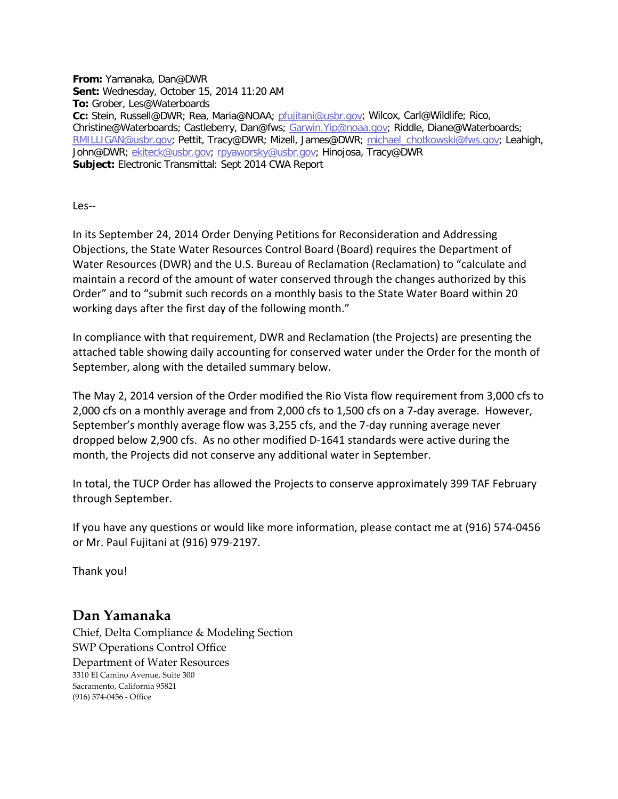**From:** Yamanaka, Dan@DWR **Sent:** Wednesday, October 15, 2014 11:20 AM **To:** Grober, Les@Waterboards **Cc:** Stein, Russell@DWR; Rea, Maria@NOAA; [pfujitani@usbr.gov;](mailto:pfujitani@usbr.gov) Wilcox, Carl@Wildlife; Rico, Christine@Waterboards; Castleberry, Dan@fws; [Garwin.Yip@noaa.gov;](mailto:Garwin.Yip@noaa.gov) Riddle, Diane@Waterboards; [RMILLIGAN@usbr.gov;](mailto:RMILLIGAN@usbr.gov) Pettit, Tracy@DWR; Mizell, James@DWR; [michael\\_chotkowski@fws.gov;](mailto:michael_chotkowski@fws.gov) Leahigh, John@DWR; [ekiteck@usbr.gov;](mailto:ekiteck@usbr.gov) [rpyaworsky@usbr.gov;](mailto:rpyaworsky@usbr.gov) Hinojosa, Tracy@DWR **Subject:** Electronic Transmittal: Sept 2014 CWA Report

Les--

In its September 24, 2014 Order Denying Petitions for Reconsideration and Addressing Objections, the State Water Resources Control Board (Board) requires the Department of Water Resources (DWR) and the U.S. Bureau of Reclamation (Reclamation) to "calculate and maintain a record of the amount of water conserved through the changes authorized by this Order" and to "submit such records on a monthly basis to the State Water Board within 20 working days after the first day of the following month."

In compliance with that requirement, DWR and Reclamation (the Projects) are presenting the attached table showing daily accounting for conserved water under the Order for the month of September, along with the detailed summary below.

The May 2, 2014 version of the Order modified the Rio Vista flow requirement from 3,000 cfs to 2,000 cfs on a monthly average and from 2,000 cfs to 1,500 cfs on a 7-day average. However, September's monthly average flow was 3,255 cfs, and the 7-day running average never dropped below 2,900 cfs. As no other modified D-1641 standards were active during the month, the Projects did not conserve any additional water in September.

In total, the TUCP Order has allowed the Projects to conserve approximately 399 TAF February through September.

If you have any questions or would like more information, please contact me at (916) 574-0456 or Mr. Paul Fujitani at (916) 979-2197.

Thank you!

## **Dan Yamanaka**

Chief, Delta Compliance & Modeling Section SWP Operations Control Office Department of Water Resources 3310 El Camino Avenue, Suite 300 Sacramento, California 95821 (916) 574-0456 - Office